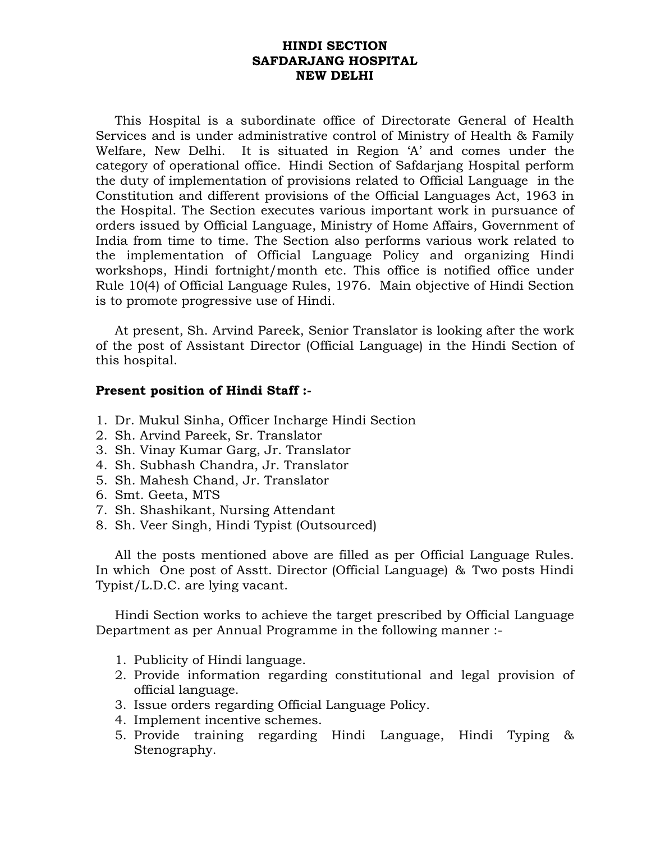#### **HINDI SECTION SAFDARJANG HOSPITAL NEW DELHI**

This Hospital is a subordinate office of Directorate General of Health Services and is under administrative control of Ministry of Health & Family Welfare, New Delhi. It is situated in Region 'A' and comes under the category of operational office. Hindi Section of Safdarjang Hospital perform the duty of implementation of provisions related to Official Language in the Constitution and different provisions of the Official Languages Act, 1963 in the Hospital. The Section executes various important work in pursuance of orders issued by Official Language, Ministry of Home Affairs, Government of India from time to time. The Section also performs various work related to the implementation of Official Language Policy and organizing Hindi workshops, Hindi fortnight/month etc. This office is notified office under Rule 10(4) of Official Language Rules, 1976. Main objective of Hindi Section is to promote progressive use of Hindi.

At present, Sh. Arvind Pareek, Senior Translator is looking after the work of the post of Assistant Director (Official Language) in the Hindi Section of this hospital.

#### **Present position of Hindi Staff :-**

- 1. Dr. Mukul Sinha, Officer Incharge Hindi Section
- 2. Sh. Arvind Pareek, Sr. Translator
- 3. Sh. Vinay Kumar Garg, Jr. Translator
- 4. Sh. Subhash Chandra, Jr. Translator
- 5. Sh. Mahesh Chand, Jr. Translator
- 6. Smt. Geeta, MTS
- 7. Sh. Shashikant, Nursing Attendant
- 8. Sh. Veer Singh, Hindi Typist (Outsourced)

All the posts mentioned above are filled as per Official Language Rules. In which One post of Asstt. Director (Official Language) & Two posts Hindi Typist/L.D.C. are lying vacant.

Hindi Section works to achieve the target prescribed by Official Language Department as per Annual Programme in the following manner :-

- 1. Publicity of Hindi language.
- 2. Provide information regarding constitutional and legal provision of official language.
- 3. Issue orders regarding Official Language Policy.
- 4. Implement incentive schemes.
- 5. Provide training regarding Hindi Language, Hindi Typing & Stenography.